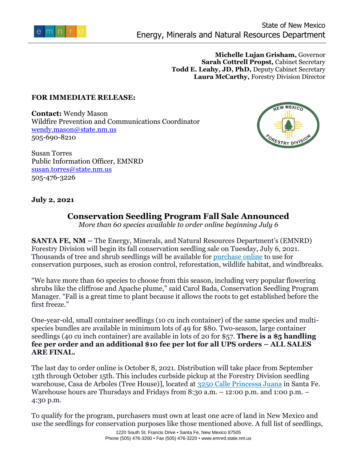

**Michelle Lujan Grisham,** Governor **Sarah Cottrell Propst,** Cabinet Secretary **Todd E. Leahy, JD, PhD,** Deputy Cabinet Secretary **Laura McCarthy,** Forestry Division Director

## **FOR IMMEDIATE RELEASE:**

**Contact:** Wendy Mason Wildfire Prevention and Communications Coordinator [wendy.mason@state.nm.us](mailto:wendy.mason@state.nm.us) 505-690-8210



Susan Torres Public Information Officer, EMNRD [susan.torres@state.nm.us](mailto:susan.torres@state.nm.us) 505-476-3226

## **July 2, 2021**

## **Conservation Seedling Program Fall Sale Announced**

*More than 60 species available to order online beginning July 6*

**SANTA FE, NM –** The Energy, Minerals, and Natural Resources Department's (EMNRD) Forestry Division will begin its fall conservation seedling sale on Tuesday, July 6, 2021. Thousands of tree and shrub seedlings will be available for [purchase online](https://wwwapps.emnrd.state.nm.us/fd/treepublic/OrderOnline.aspx) to use for conservation purposes, such as erosion control, reforestation, wildlife habitat, and windbreaks.

"We have more than 60 species to choose from this season, including very popular flowering shrubs like the cliffrose and Apache plume," said Carol Bada, Conservation Seedling Program Manager. "Fall is a great time to plant because it allows the roots to get established before the first freeze."

One-year-old, small container seedlings (10 cu inch container) of the same species and multispecies bundles are available in minimum lots of 49 for \$80. Two-season, large container seedlings (40 cu inch container) are available in lots of 20 for \$57. **There is a \$5 handling fee per order and an additional \$10 fee per lot for all UPS orders – ALL SALES ARE FINAL.**

The last day to order online is October 8, 2021. Distribution will take place from September 13th through October 15th. This includes curbside pickup at the Forestry Division seedling warehouse, Casa de Arboles (Tree House)], located at [3250 Calle Princessa Juana](http://www.emnrd.state.nm.us/SFD/treepublic/Other.html) in Santa Fe. Warehouse hours are Thursdays and Fridays from 8:30 a.m. - 12:00 p.m. and 1:00 p.m. -4:30 p.m.

To qualify for the program, purchasers must own at least one acre of land in New Mexico and use the seedlings for conservation purposes like those mentioned above. A full list of seedlings,